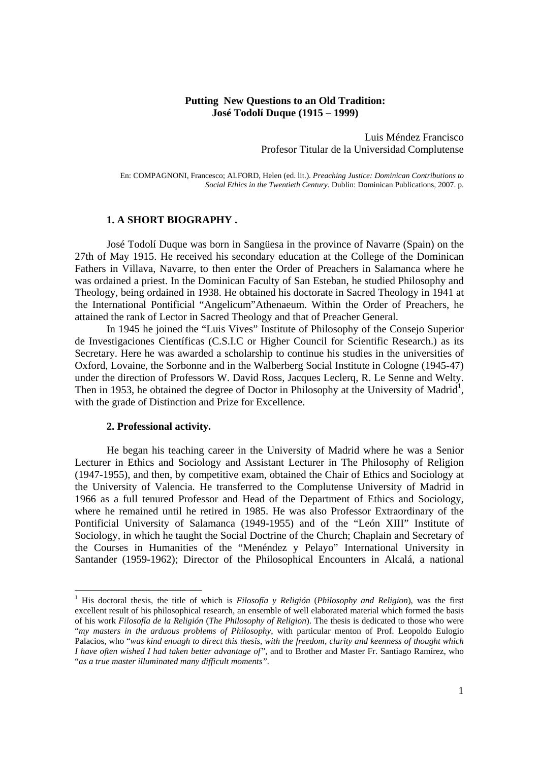## **Putting New Questions to an Old Tradition: José Todolí Duque (1915 – 1999)**

Luis Méndez Francisco Profesor Titular de la Universidad Complutense

En: COMPAGNONI, Francesco; ALFORD, Helen (ed. lit.). *Preaching Justice: Dominican Contributions to Social Ethics in the Twentieth Century.* Dublin: Dominican Publications, 2007. p.

#### **1. A SHORT BIOGRAPHY .**

José Todolí Duque was born in Sangüesa in the province of Navarre (Spain) on the 27th of May 1915. He received his secondary education at the College of the Dominican Fathers in Villava, Navarre, to then enter the Order of Preachers in Salamanca where he was ordained a priest. In the Dominican Faculty of San Esteban, he studied Philosophy and Theology, being ordained in 1938. He obtained his doctorate in Sacred Theology in 1941 at the International Pontificial "Angelicum"Athenaeum. Within the Order of Preachers, he attained the rank of Lector in Sacred Theology and that of Preacher General.

In 1945 he joined the "Luis Vives" Institute of Philosophy of the Consejo Superior de Investigaciones Científicas (C.S.I.C or Higher Council for Scientific Research.) as its Secretary. Here he was awarded a scholarship to continue his studies in the universities of Oxford, Lovaine, the Sorbonne and in the Walberberg Social Institute in Cologne (1945-47) under the direction of Professors W. David Ross, Jacques Leclerq, R. Le Senne and Welty. Then in 1953, he obtained the degree of Doctor in Philosophy at the University of Madrid<sup>1</sup>, with the grade of Distinction and Prize for Excellence.

#### **2. Professional activity.**

-

He began his teaching career in the University of Madrid where he was a Senior Lecturer in Ethics and Sociology and Assistant Lecturer in The Philosophy of Religion (1947-1955), and then, by competitive exam, obtained the Chair of Ethics and Sociology at the University of Valencia. He transferred to the Complutense University of Madrid in 1966 as a full tenured Professor and Head of the Department of Ethics and Sociology, where he remained until he retired in 1985. He was also Professor Extraordinary of the Pontificial University of Salamanca (1949-1955) and of the "León XIII" Institute of Sociology, in which he taught the Social Doctrine of the Church; Chaplain and Secretary of the Courses in Humanities of the "Menéndez y Pelayo" International University in Santander (1959-1962); Director of the Philosophical Encounters in Alcalá, a national

<sup>&</sup>lt;sup>1</sup> His doctoral thesis, the title of which is *Filosofía y Religión* (*Philosophy and Religion*), was the first excellent result of his philosophical research, an ensemble of well elaborated material which formed the basis of his work *Filosofía de la Religión* (*The Philosophy of Religion*). The thesis is dedicated to those who were "*my masters in the arduous problems of Philosophy*, with particular menton of Prof. Leopoldo Eulogio Palacios, who "*was kind enough to direct this thesis, with the freedom, clarity and keenness of thought which I have often wished I had taken better advantage of"*, and to Brother and Master Fr. Santiago Ramírez, who "*as a true master illuminated many difficult moments".*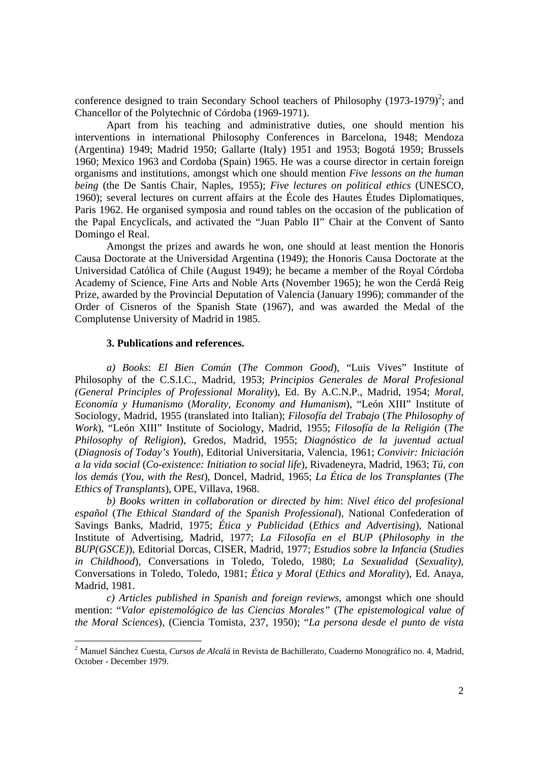conference designed to train Secondary School teachers of Philosophy  $(1973-1979)^2$ ; and Chancellor of the Polytechnic of Córdoba (1969-1971).

Apart from his teaching and administrative duties, one should mention his interventions in international Philosophy Conferences in Barcelona, 1948; Mendoza (Argentina) 1949; Madrid 1950; Gallarte (Italy) 1951 and 1953; Bogotá 1959; Brussels 1960; Mexico 1963 and Cordoba (Spain) 1965. He was a course director in certain foreign organisms and institutions, amongst which one should mention *Five lessons on the human being* (the De Santis Chair, Naples, 1955); *Five lectures on political ethics* (UNESCO, 1960); several lectures on current affairs at the École des Hautes Études Diplomatiques, Paris 1962. He organised symposia and round tables on the occasion of the publication of the Papal Encyclicals, and activated the "Juan Pablo II" Chair at the Convent of Santo Domingo el Real.

Amongst the prizes and awards he won, one should at least mention the Honoris Causa Doctorate at the Universidad Argentina (1949); the Honoris Causa Doctorate at the Universidad Católica of Chile (August 1949); he became a member of the Royal Córdoba Academy of Science, Fine Arts and Noble Arts (November 1965); he won the Cerdá Reig Prize, awarded by the Provincial Deputation of Valencia (January 1996); commander of the Order of Cisneros of the Spanish State (1967), and was awarded the Medal of the Complutense University of Madrid in 1985.

#### **3. Publications and references.**

-

*a) Books*: *El Bien Común* (*The Common Good*), "Luis Vives" Institute of Philosophy of the C.S.I.C., Madrid, 1953; *Principios Generales de Moral Profesional (General Principles of Professional Morality*), Ed. By A.C.N.P., Madrid, 1954; *Moral, Economía y Humanismo* (*Morality, Economy and Humanism*), "León XIII" Institute of Sociology, Madrid, 1955 (translated into Italian); *Filosofía del Trabajo* (*The Philosophy of Work*), "León XIII" Institute of Sociology, Madrid, 1955; *Filosofía de la Religión* (*The Philosophy of Religion*), Gredos, Madrid, 1955; *Diagnóstico de la juventud actual* (*Diagnosis of Today's Youth*), Editorial Universitaria, Valencia, 1961; *Convivir: Iniciación a la vida social* (*Co-existence: Initiation to social life*), Rivadeneyra, Madrid, 1963; *Tú, con los demás* (*You, with the Rest*), Doncel, Madrid, 1965; *La Ética de los Transplantes* (*The Ethics of Transplants*), OPE, Villava, 1968.

*b) Books written in collaboration or directed by him*: *Nivel ético del profesional español* (*The Ethical Standard of the Spanish Professional*), National Confederation of Savings Banks, Madrid, 1975; *Ética y Publicidad* (*Ethics and Advertising*), National Institute of Advertising, Madrid, 1977; *La Filosofía en el BUP* (*Philosophy in the BUP(GSCE)*), Editorial Dorcas, CISER, Madrid, 1977; *Estudios sobre la Infancia* (*Studies in Childhood*), Conversations in Toledo, Toledo, 1980; *La Sexualidad* (*Sexuality)*, Conversations in Toledo, Toledo, 1981; *Ética y Moral* (*Ethics and Morality*), Ed. Anaya, Madrid, 1981.

*c) Articles published in Spanish and foreign reviews*, amongst which one should mention: "*Valor epistemológico de las Ciencias Morales"* (*The epistemological value of the Moral Sciences*), (Ciencia Tomista, 237, 1950); "*La persona desde el punto de vista* 

<sup>2</sup> Manuel Sánchez Cuesta, *Cursos de Alcalá* in Revista de Bachillerato, Cuaderno Monográfico no. 4, Madrid, October - December 1979.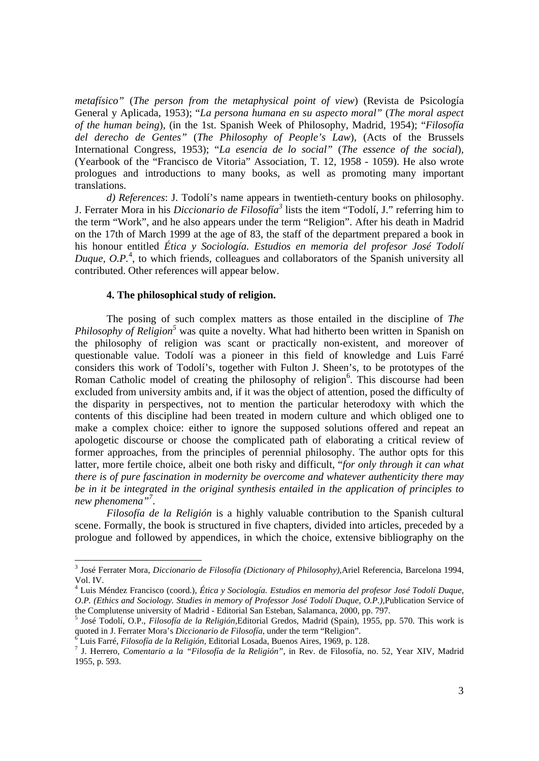*metafísico"* (*The person from the metaphysical point of view*) (Revista de Psicología General y Aplicada, 1953); "*La persona humana en su aspecto moral"* (*The moral aspect of the human being*), (in the 1st. Spanish Week of Philosophy, Madrid, 1954); "*Filosofía del derecho de Gentes"* (*The Philosophy of People's Law*), (Acts of the Brussels International Congress, 1953); "*La esencia de lo social"* (*The essence of the social*), (Yearbook of the "Francisco de Vitoria" Association, T. 12, 1958 - 1059). He also wrote prologues and introductions to many books, as well as promoting many important translations.

*d) References*: J. Todolí's name appears in twentieth-century books on philosophy. J. Ferrater Mora in his *Diccionario de Filosofía<sup>3</sup>* lists the item "Todolí, J." referring him to the term "Work", and he also appears under the term "Religion". After his death in Madrid on the 17th of March 1999 at the age of 83, the staff of the department prepared a book in his honour entitled *Ética y Sociología. Estudios en memoria del profesor José Todolí*  Duque, O.P.<sup>4</sup>, to which friends, colleagues and collaborators of the Spanish university all contributed. Other references will appear below.

## **4. The philosophical study of religion.**

The posing of such complex matters as those entailed in the discipline of *The Philosophy of Religion*<sup>5</sup> was quite a novelty. What had hitherto been written in Spanish on the philosophy of religion was scant or practically non-existent, and moreover of questionable value. Todolí was a pioneer in this field of knowledge and Luis Farré considers this work of Todolí's, together with Fulton J. Sheen's, to be prototypes of the Roman Catholic model of creating the philosophy of religion<sup>6</sup>. This discourse had been excluded from university ambits and, if it was the object of attention, posed the difficulty of the disparity in perspectives, not to mention the particular heterodoxy with which the contents of this discipline had been treated in modern culture and which obliged one to make a complex choice: either to ignore the supposed solutions offered and repeat an apologetic discourse or choose the complicated path of elaborating a critical review of former approaches, from the principles of perennial philosophy. The author opts for this latter, more fertile choice, albeit one both risky and difficult, "*for only through it can what there is of pure fascination in modernity be overcome and whatever authenticity there may be in it be integrated in the original synthesis entailed in the application of principles to new phenomena"<sup>7</sup>* .

*Filosofía de la Religión* is a highly valuable contribution to the Spanish cultural scene. Formally, the book is structured in five chapters, divided into articles, preceded by a prologue and followed by appendices, in which the choice, extensive bibliography on the

<sup>3</sup> José Ferrater Mora, *Diccionario de Filosofía (Dictionary of Philosophy),*Ariel Referencia, Barcelona 1994, Vol. IV.

<sup>4</sup> Luis Méndez Francisco (coord.), *Ética y Sociología. Estudios en memoria del profesor José Todolí Duque, O.P. (Ethics and Sociology. Studies in memory of Professor José Todolí Duque, O.P.),*Publication Service of the Complutense university of Madrid - Editorial San Esteban, Salamanca, 2000, pp. 797.

<sup>5</sup> José Todolí, O.P., *Filosofía de la Religión,*Editorial Gredos, Madrid (Spain), 1955, pp. 570. This work is quoted in J. Ferrater Mora's *Diccionario de Filosofía*, under the term "Religion". 6

Luis Farré, *Filosofía de la Religión*, Editorial Losada, Buenos Aires, 1969, p. 128. 7

J. Herrero, *Comentario a la "Filosofía de la Religión"*, in Rev. de Filosofía, no. 52, Year XIV, Madrid 1955, p. 593.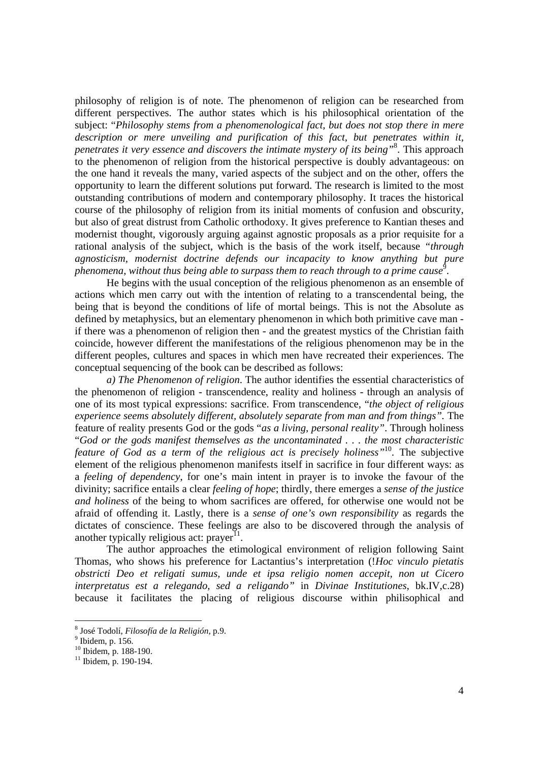philosophy of religion is of note. The phenomenon of religion can be researched from different perspectives. The author states which is his philosophical orientation of the subject: "*Philosophy stems from a phenomenological fact, but does not stop there in mere description or mere unveiling and purification of this fact, but penetrates within it, penetrates it very essence and discovers the intimate mystery of its being"*<sup>8</sup> . This approach to the phenomenon of religion from the historical perspective is doubly advantageous: on the one hand it reveals the many, varied aspects of the subject and on the other, offers the opportunity to learn the different solutions put forward. The research is limited to the most outstanding contributions of modern and contemporary philosophy. It traces the historical course of the philosophy of religion from its initial moments of confusion and obscurity, but also of great distrust from Catholic orthodoxy. It gives preference to Kantian theses and modernist thought, vigorously arguing against agnostic proposals as a prior requisite for a rational analysis of the subject, which is the basis of the work itself, because *"through agnosticism, modernist doctrine defends our incapacity to know anything but pure phenomena, without thus being able to surpass them to reach through to a prime cause*<sup>9</sup>.

He begins with the usual conception of the religious phenomenon as an ensemble of actions which men carry out with the intention of relating to a transcendental being, the being that is beyond the conditions of life of mortal beings. This is not the Absolute as defined by metaphysics, but an elementary phenomenon in which both primitive cave man if there was a phenomenon of religion then - and the greatest mystics of the Christian faith coincide, however different the manifestations of the religious phenomenon may be in the different peoples, cultures and spaces in which men have recreated their experiences. The conceptual sequencing of the book can be described as follows:

*a) The Phenomenon of religion*. The author identifies the essential characteristics of the phenomenon of religion - transcendence, reality and holiness - through an analysis of one of its most typical expressions: sacrifice. From transcendence, "*the object of religious experience seems absolutely different, absolutely separate from man and from things".* The feature of reality presents God or the gods "*as a living, personal reality"*. Through holiness "*God or the gods manifest themselves as the uncontaminated . . . the most characteristic feature of God as a term of the religious act is precisely holiness"*10. The subjective element of the religious phenomenon manifests itself in sacrifice in four different ways: as a *feeling of dependency*, for one's main intent in prayer is to invoke the favour of the divinity; sacrifice entails a clear *feeling of hope*; thirdly, there emerges a *sense of the justice and holiness* of the being to whom sacrifices are offered, for otherwise one would not be afraid of offending it. Lastly, there is a *sense of one's own responsibility* as regards the dictates of conscience. These feelings are also to be discovered through the analysis of another typically religious act:  $prayer$ <sup>11</sup>.

The author approaches the etimological environment of religion following Saint Thomas, who shows his preference for Lactantius's interpretation (!*Hoc vinculo pietatis obstricti Deo et religati sumus, unde et ipsa religio nomen accepit, non ut Cicero interpretatus est a relegando, sed a religando"* in *Divinae Institutiones*, bk.IV,c.28) because it facilitates the placing of religious discourse within philisophical and

<sup>&</sup>lt;sup>8</sup> José Todolí, *Filosofía de la Religión*, p.9.<br><sup>9</sup> Ibidam n. 156

 $9$  Ibidem, p. 156.

<sup>10</sup> Ibidem, p. 188-190.

 $11$  Ibidem, p. 190-194.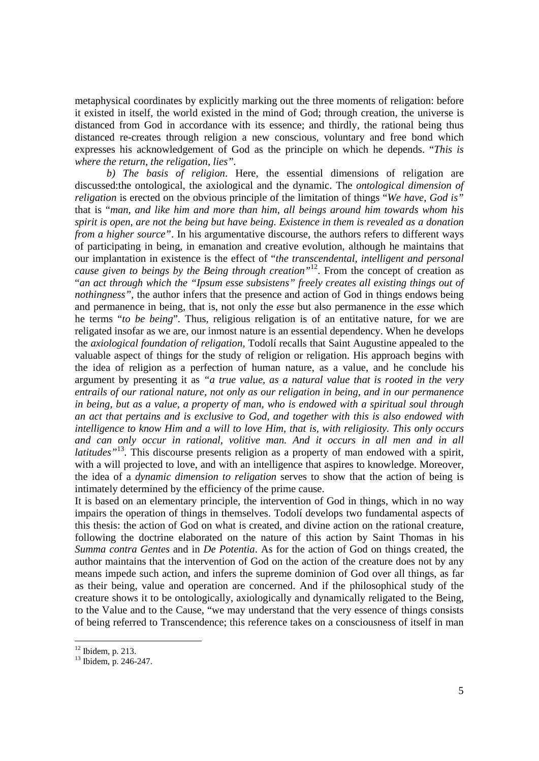metaphysical coordinates by explicitly marking out the three moments of religation: before it existed in itself, the world existed in the mind of God; through creation, the universe is distanced from God in accordance with its essence; and thirdly, the rational being thus distanced re-creates through religion a new conscious, voluntary and free bond which expresses his acknowledgement of God as the principle on which he depends. "*This is where the return, the religation, lies".*

*b) The basis of religion*. Here, the essential dimensions of religation are discussed:the ontological, the axiological and the dynamic. The *ontological dimension of religation* is erected on the obvious principle of the limitation of things "*We have, God is"* that is "*man, and like him and more than him, all beings around him towards whom his spirit is open, are not the being but have being. Existence in them is revealed as a donation from a higher source*". In his argumentative discourse, the authors refers to different ways of participating in being, in emanation and creative evolution, although he maintains that our implantation in existence is the effect of "*the transcendental, intelligent and personal cause given to beings by the Being through creation"*12. From the concept of creation as "*an act through which the "Ipsum esse subsistens" freely creates all existing things out of nothingness"*, the author infers that the presence and action of God in things endows being and permanence in being, that is, not only the *esse* but also permanence in the *esse* which he terms "*to be being*". Thus, religious religation is of an entitative nature, for we are religated insofar as we are, our inmost nature is an essential dependency. When he develops the *axiological foundation of religation,* Todolí recalls that Saint Augustine appealed to the valuable aspect of things for the study of religion or religation. His approach begins with the idea of religion as a perfection of human nature, as a value, and he conclude his argument by presenting it as *"a true value, as a natural value that is rooted in the very entrails of our rational nature, not only as our religation in being, and in our permanence in being, but as a value, a property of man, who is endowed with a spiritual soul through an act that pertains and is exclusive to God, and together with this is also endowed with intelligence to know Him and a will to love Him, that is, with religiosity. This only occurs*  and can only occur in rational, volitive man. And it occurs in all men and in all *latitudes*<sup>13</sup>. This discourse presents religion as a property of man endowed with a spirit, with a will projected to love, and with an intelligence that aspires to knowledge. Moreover, the idea of a *dynamic dimension to religation* serves to show that the action of being is intimately determined by the efficiency of the prime cause.

It is based on an elementary principle, the intervention of God in things, which in no way impairs the operation of things in themselves. Todolí develops two fundamental aspects of this thesis: the action of God on what is created, and divine action on the rational creature, following the doctrine elaborated on the nature of this action by Saint Thomas in his *Summa contra Gentes* and in *De Potentia*. As for the action of God on things created, the author maintains that the intervention of God on the action of the creature does not by any means impede such action, and infers the supreme dominion of God over all things, as far as their being, value and operation are concerned. And if the philosophical study of the creature shows it to be ontologically, axiologically and dynamically religated to the Being, to the Value and to the Cause, "we may understand that the very essence of things consists of being referred to Transcendence; this reference takes on a consciousness of itself in man

 $12$  Ibidem, p. 213.

<sup>13</sup> Ibidem, p. 246-247.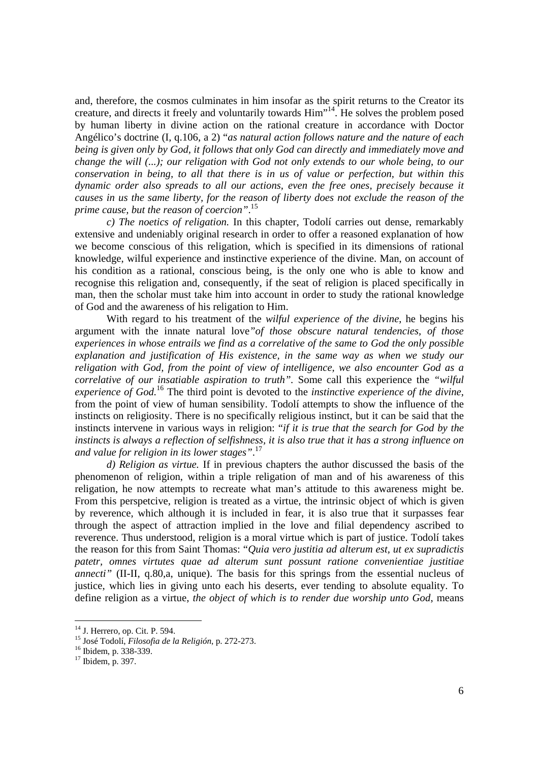and, therefore, the cosmos culminates in him insofar as the spirit returns to the Creator its creature, and directs it freely and voluntarily towards Him"14. He solves the problem posed by human liberty in divine action on the rational creature in accordance with Doctor Angélico's doctrine (I, q.106, a 2) "*as natural action follows nature and the nature of each being is given only by God, it follows that only God can directly and immediately move and change the will (...); our religation with God not only extends to our whole being, to our conservation in being, to all that there is in us of value or perfection, but within this dynamic order also spreads to all our actions, even the free ones, precisely because it causes in us the same liberty, for the reason of liberty does not exclude the reason of the prime cause, but the reason of coercion"*. 15

*c) The noetics of religation.* In this chapter, Todolí carries out dense, remarkably extensive and undeniably original research in order to offer a reasoned explanation of how we become conscious of this religation, which is specified in its dimensions of rational knowledge, wilful experience and instinctive experience of the divine. Man, on account of his condition as a rational, conscious being, is the only one who is able to know and recognise this religation and, consequently, if the seat of religion is placed specifically in man, then the scholar must take him into account in order to study the rational knowledge of God and the awareness of his religation to Him.

With regard to his treatment of the *wilful experience of the divine*, he begins his argument with the innate natural love*"of those obscure natural tendencies, of those experiences in whose entrails we find as a correlative of the same to God the only possible explanation and justification of His existence, in the same way as when we study our religation with God, from the point of view of intelligence, we also encounter God as a correlative of our insatiable aspiration to truth".* Some call this experience the *"wilful experience of God.*<sup>16</sup> The third point is devoted to the *instinctive experience of the divine*, from the point of view of human sensibility. Todolí attempts to show the influence of the instincts on religiosity. There is no specifically religious instinct, but it can be said that the instincts intervene in various ways in religion: "*if it is true that the search for God by the instincts is always a reflection of selfishness, it is also true that it has a strong influence on and value for religion in its lower stages"*. 17

*d) Religion as virtue.* If in previous chapters the author discussed the basis of the phenomenon of religion, within a triple religation of man and of his awareness of this religation, he now attempts to recreate what man's attitude to this awareness might be. From this perspetcive, religion is treated as a virtue, the intrinsic object of which is given by reverence, which although it is included in fear, it is also true that it surpasses fear through the aspect of attraction implied in the love and filial dependency ascribed to reverence. Thus understood, religion is a moral virtue which is part of justice. Todolí takes the reason for this from Saint Thomas: "*Quia vero justitia ad alterum est, ut ex supradictis patetr, omnes virtutes quae ad alterum sunt possunt ratione convenientiae justitiae annecti"* (II-II, q.80,a, unique). The basis for this springs from the essential nucleus of justice, which lies in giving unto each his deserts, ever tending to absolute equality. To define religion as a virtue, *the object of which is to render due worship unto God*, means

<sup>&</sup>lt;sup>14</sup> J. Herrero, op. Cit. P. 594.

<sup>&</sup>lt;sup>15</sup> José Todolí, *Filosofia de la Religión*, p. 272-273.<br><sup>16</sup> Ibidem, p. 338-339.

 $17$  Ibidem, p. 397.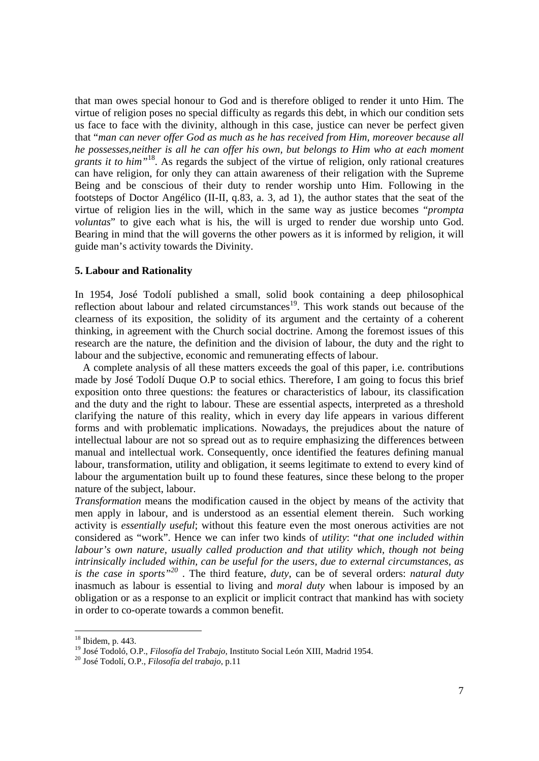that man owes special honour to God and is therefore obliged to render it unto Him. The virtue of religion poses no special difficulty as regards this debt, in which our condition sets us face to face with the divinity, although in this case, justice can never be perfect given that "*man can never offer God as much as he has received from Him, moreover because all he possesses,neither is all he can offer his own, but belongs to Him who at each moment grants it to him"*18. As regards the subject of the virtue of religion, only rational creatures can have religion, for only they can attain awareness of their religation with the Supreme Being and be conscious of their duty to render worship unto Him. Following in the footsteps of Doctor Angélico (II-II, q.83, a. 3, ad 1), the author states that the seat of the virtue of religion lies in the will, which in the same way as justice becomes "*prompta voluntas*" to give each what is his, the will is urged to render due worship unto God. Bearing in mind that the will governs the other powers as it is informed by religion, it will guide man's activity towards the Divinity.

### **5. Labour and Rationality**

In 1954, José Todolí published a small, solid book containing a deep philosophical reflection about labour and related circumstances<sup>19</sup>. This work stands out because of the clearness of its exposition, the solidity of its argument and the certainty of a coherent thinking, in agreement with the Church social doctrine. Among the foremost issues of this research are the nature, the definition and the division of labour, the duty and the right to labour and the subjective, economic and remunerating effects of labour.

 A complete analysis of all these matters exceeds the goal of this paper, i.e. contributions made by José Todolí Duque O.P to social ethics. Therefore, I am going to focus this brief exposition onto three questions: the features or characteristics of labour, its classification and the duty and the right to labour. These are essential aspects, interpreted as a threshold clarifying the nature of this reality, which in every day life appears in various different forms and with problematic implications. Nowadays, the prejudices about the nature of intellectual labour are not so spread out as to require emphasizing the differences between manual and intellectual work. Consequently, once identified the features defining manual labour, transformation, utility and obligation, it seems legitimate to extend to every kind of labour the argumentation built up to found these features, since these belong to the proper nature of the subject, labour.

*Transformation* means the modification caused in the object by means of the activity that men apply in labour, and is understood as an essential element therein. Such working activity is *essentially useful*; without this feature even the most onerous activities are not considered as "work". Hence we can infer two kinds of *utility*: "*that one included within labour's own nature, usually called production and that utility which, though not being intrinsically included within, can be useful for the users, due to external circumstances, as is the case in sports"20* . The third feature, *duty*, can be of several orders: *natural duty* inasmuch as labour is essential to living and *moral duty* when labour is imposed by an obligation or as a response to an explicit or implicit contract that mankind has with society in order to co-operate towards a common benefit.

<sup>18</sup> Ibidem, p. 443.

<sup>&</sup>lt;sup>19</sup> José Todoló, O.P., *Filosofía del Trabajo*, Instituto Social León XIII, Madrid 1954.<br><sup>20</sup> José Todolí, O.P., *Filosofía del trabajo*, p.11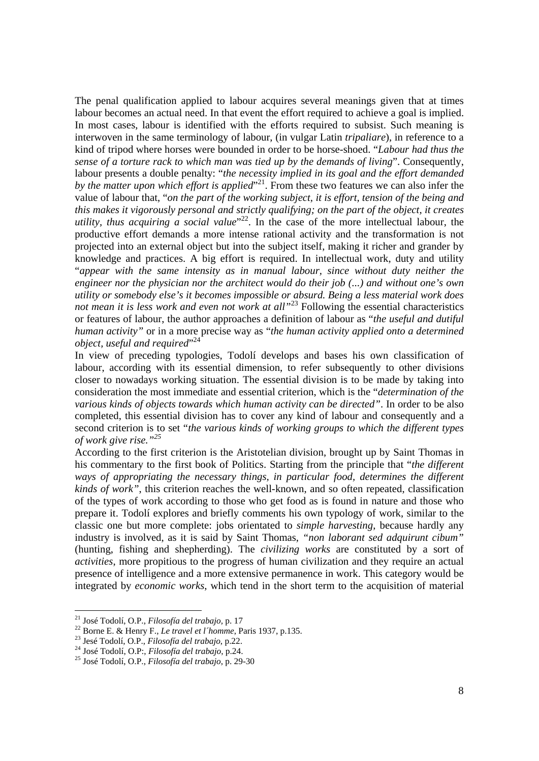The penal qualification applied to labour acquires several meanings given that at times labour becomes an actual need. In that event the effort required to achieve a goal is implied. In most cases, labour is identified with the efforts required to subsist. Such meaning is interwoven in the same terminology of labour, (in vulgar Latin *tripaliare*), in reference to a kind of tripod where horses were bounded in order to be horse-shoed. "*Labour had thus the sense of a torture rack to which man was tied up by the demands of living*". Consequently, labour presents a double penalty: "*the necessity implied in its goal and the effort demanded*  by the matter upon which effort is applied<sup>"21</sup>. From these two features we can also infer the value of labour that, "*on the part of the working subject, it is effort, tension of the being and this makes it vigorously personal and strictly qualifying; on the part of the object, it creates utility, thus acquiring a social value*" 22. In the case of the more intellectual labour, the productive effort demands a more intense rational activity and the transformation is not projected into an external object but into the subject itself, making it richer and grander by knowledge and practices. A big effort is required. In intellectual work, duty and utility "*appear with the same intensity as in manual labour, since without duty neither the engineer nor the physician nor the architect would do their job (...) and without one's own utility or somebody else's it becomes impossible or absurd. Being a less material work does not mean it is less work and even not work at all"*<sup>23</sup> Following the essential characteristics or features of labour, the author approaches a definition of labour as "*the useful and dutiful human activity"* or in a more precise way as "*the human activity applied onto a determined object, useful and required*" 24

In view of preceding typologies, Todolí develops and bases his own classification of labour, according with its essential dimension, to refer subsequently to other divisions closer to nowadays working situation. The essential division is to be made by taking into consideration the most immediate and essential criterion, which is the "*determination of the various kinds of objects towards which human activity can be directed"*. In order to be also completed, this essential division has to cover any kind of labour and consequently and a second criterion is to set "*the various kinds of working groups to which the different types of work give rise."25*

According to the first criterion is the Aristotelian division, brought up by Saint Thomas in his commentary to the first book of Politics. Starting from the principle that "*the different ways of appropriating the necessary things, in particular food, determines the different kinds of work"*, this criterion reaches the well-known, and so often repeated, classification of the types of work according to those who get food as is found in nature and those who prepare it. Todolí explores and briefly comments his own typology of work, similar to the classic one but more complete: jobs orientated to *simple harvesting*, because hardly any industry is involved, as it is said by Saint Thomas, *"non laborant sed adquirunt cibum"* (hunting, fishing and shepherding). The *civilizing works* are constituted by a sort of *activities*, more propitious to the progress of human civilization and they require an actual presence of intelligence and a more extensive permanence in work. This category would be integrated by *economic works*, which tend in the short term to the acquisition of material

<sup>&</sup>lt;sup>21</sup> José Todolí, O.P., Filosofía del trabajo, p. 17

<sup>&</sup>lt;sup>22</sup> Borne E. & Henry F., *Le travel et l'homme*, Paris 1937, p.135.<br><sup>23</sup> Jesé Todolí, O.P., *Filosofía del trabajo*, p.22.<br><sup>24</sup> José Todolí, O.P., *Filosofía del trabajo*, p.24.<br><sup>25</sup> José Todolí, O.P., *Filosofía del tra*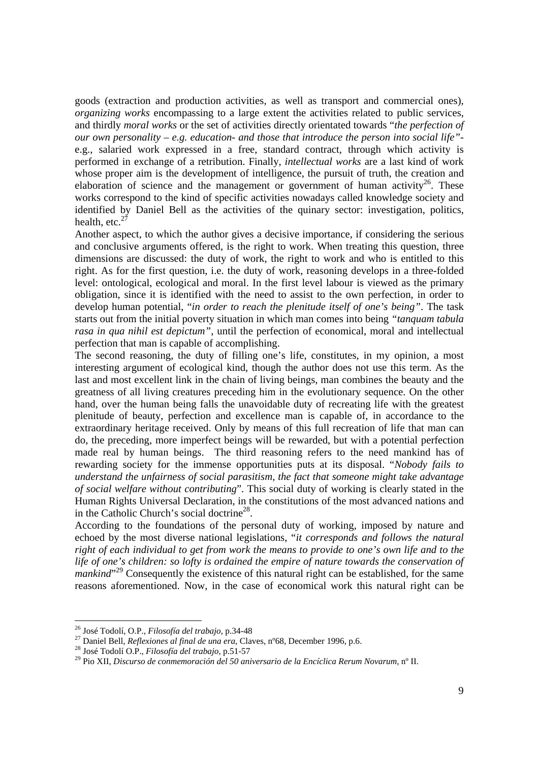goods (extraction and production activities, as well as transport and commercial ones), *organizing works* encompassing to a large extent the activities related to public services, and thirdly *moral works* or the set of activities directly orientated towards "*the perfection of our own personality – e.g. education- and those that introduce the person into social life"* e.g., salaried work expressed in a free, standard contract, through which activity is performed in exchange of a retribution. Finally, *intellectual works* are a last kind of work whose proper aim is the development of intelligence, the pursuit of truth, the creation and elaboration of science and the management or government of human activity<sup>26</sup>. These works correspond to the kind of specific activities nowadays called knowledge society and identified by Daniel Bell as the activities of the quinary sector: investigation, politics, health, etc. $<sup>2</sup>$ </sup>

Another aspect, to which the author gives a decisive importance, if considering the serious and conclusive arguments offered, is the right to work. When treating this question, three dimensions are discussed: the duty of work, the right to work and who is entitled to this right. As for the first question, i.e. the duty of work, reasoning develops in a three-folded level: ontological, ecological and moral. In the first level labour is viewed as the primary obligation, since it is identified with the need to assist to the own perfection, in order to develop human potential, "*in order to reach the plenitude itself of one's being"*. The task starts out from the initial poverty situation in which man comes into being *"tanquam tabula rasa in qua nihil est depictum"*, until the perfection of economical, moral and intellectual perfection that man is capable of accomplishing.

The second reasoning, the duty of filling one's life, constitutes, in my opinion, a most interesting argument of ecological kind, though the author does not use this term. As the last and most excellent link in the chain of living beings, man combines the beauty and the greatness of all living creatures preceding him in the evolutionary sequence. On the other hand, over the human being falls the unavoidable duty of recreating life with the greatest plenitude of beauty, perfection and excellence man is capable of, in accordance to the extraordinary heritage received. Only by means of this full recreation of life that man can do, the preceding, more imperfect beings will be rewarded, but with a potential perfection made real by human beings. The third reasoning refers to the need mankind has of rewarding society for the immense opportunities puts at its disposal. "*Nobody fails to understand the unfairness of social parasitism, the fact that someone might take advantage of social welfare without contributing*". This social duty of working is clearly stated in the Human Rights Universal Declaration, in the constitutions of the most advanced nations and in the Catholic Church's social doctrine<sup>28</sup>.

According to the foundations of the personal duty of working, imposed by nature and echoed by the most diverse national legislations, "*it corresponds and follows the natural right of each individual to get from work the means to provide to one's own life and to the life of one's children: so lofty is ordained the empire of nature towards the conservation of mankind*<sup>229</sup> Consequently the existence of this natural right can be established, for the same reasons aforementioned. Now, in the case of economical work this natural right can be

<sup>&</sup>lt;sup>26</sup> José Todolí, O.P., Filosofía del trabajo, p.34-48

<sup>&</sup>lt;sup>27</sup> Daniel Bell, *Reflexiones al final de una era*, Claves, n°68, December 1996, p.6.<br><sup>28</sup> José Todolí O.P., *Filosofía del trabajo*, p.51-57<br><sup>29</sup> Pio XII, *Discurso de conmemoración del 50 aniversario de la Encíclica Re*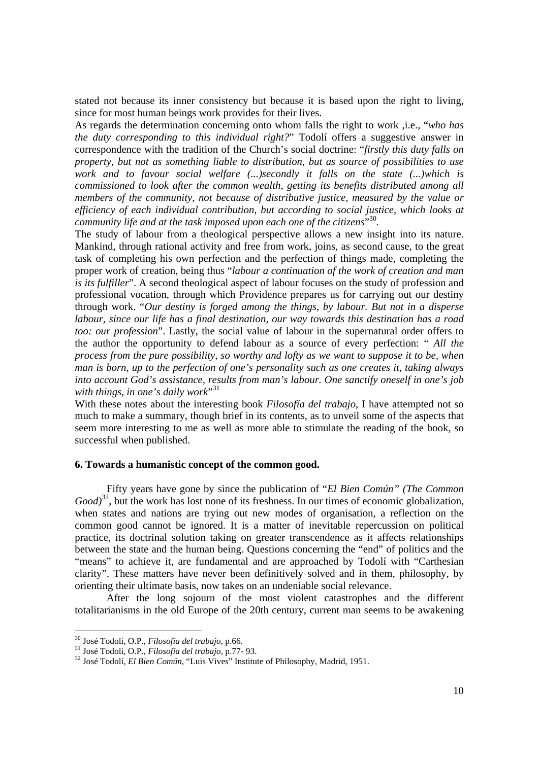stated not because its inner consistency but because it is based upon the right to living, since for most human beings work provides for their lives.

As regards the determination concerning onto whom falls the right to work ,i.e., "*who has the duty corresponding to this individual right?*" Todolí offers a suggestive answer in correspondence with the tradition of the Church's social doctrine: "*firstly this duty falls on property, but not as something liable to distribution, but as source of possibilities to use work and to favour social welfare (...)secondly it falls on the state (...)which is commissioned to look after the common wealth, getting its benefits distributed among all members of the community, not because of distributive justice, measured by the value or efficiency of each individual contribution, but according to social justice, which looks at community life and at the task imposed upon each one of the citizens*" 30*.*

The study of labour from a theological perspective allows a new insight into its nature. Mankind, through rational activity and free from work, joins, as second cause, to the great task of completing his own perfection and the perfection of things made, completing the proper work of creation, being thus "*labour a continuation of the work of creation and man is its fulfiller*". A second theological aspect of labour focuses on the study of profession and professional vocation, through which Providence prepares us for carrying out our destiny through work. "*Our destiny is forged among the things, by labour. But not in a disperse labour, since our life has a final destination, our way towards this destination has a road too: our profession*". Lastly, the social value of labour in the supernatural order offers to the author the opportunity to defend labour as a source of every perfection: " *All the process from the pure possibility, so worthy and lofty as we want to suppose it to be, when man is born, up to the perfection of one's personality such as one creates it, taking always into account God's assistance, results from man's labour. One sanctify oneself in one's job with things, in one's daily work*" 31

With these notes about the interesting book *Filosofía del trabajo*, I have attempted not so much to make a summary, though brief in its contents, as to unveil some of the aspects that seem more interesting to me as well as more able to stimulate the reading of the book, so successful when published.

## **6. Towards a humanistic concept of the common good.**

Fifty years have gone by since the publication of "*El Bien Común" (The Common Good*<sup>32</sup>, but the work has lost none of its freshness. In our times of economic globalization, when states and nations are trying out new modes of organisation, a reflection on the common good cannot be ignored. It is a matter of inevitable repercussion on political practice, its doctrinal solution taking on greater transcendence as it affects relationships between the state and the human being. Questions concerning the "end" of politics and the "means" to achieve it, are fundamental and are approached by Todolí with "Carthesian clarity". These matters have never been definitively solved and in them, philosophy, by orienting their ultimate basis, now takes on an undeniable social relevance.

After the long sojourn of the most violent catastrophes and the different totalitarianisms in the old Europe of the 20th century, current man seems to be awakening

<sup>&</sup>lt;sup>30</sup> José Todolí, O.P., Filosofía del trabajo, p.66.

<sup>&</sup>lt;sup>31</sup> José Todolí, O.P., *Filosofía del trabajo*, p.77- 93.<br><sup>32</sup> José Todolí, *El Bien Común*, "Luis Vives" Institute of Philosophy, Madrid, 1951.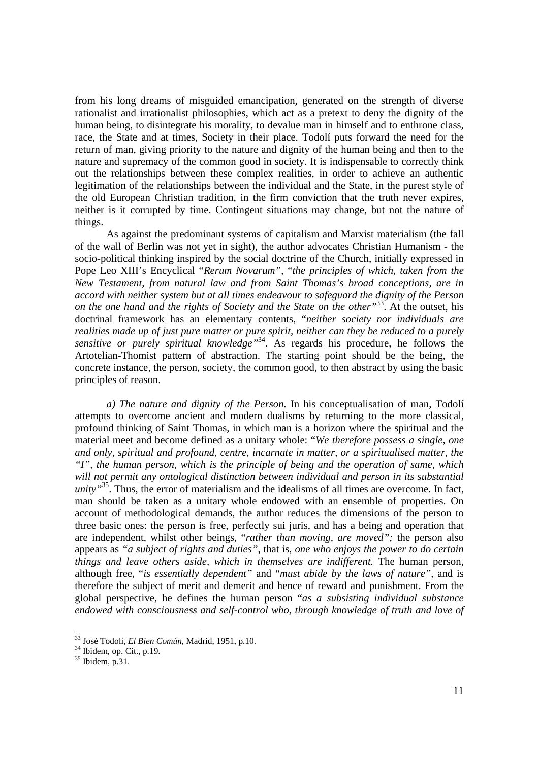from his long dreams of misguided emancipation, generated on the strength of diverse rationalist and irrationalist philosophies, which act as a pretext to deny the dignity of the human being, to disintegrate his morality, to devalue man in himself and to enthrone class, race, the State and at times, Society in their place. Todolí puts forward the need for the return of man, giving priority to the nature and dignity of the human being and then to the nature and supremacy of the common good in society. It is indispensable to correctly think out the relationships between these complex realities, in order to achieve an authentic legitimation of the relationships between the individual and the State, in the purest style of the old European Christian tradition, in the firm conviction that the truth never expires, neither is it corrupted by time. Contingent situations may change, but not the nature of things.

As against the predominant systems of capitalism and Marxist materialism (the fall of the wall of Berlin was not yet in sight), the author advocates Christian Humanism - the socio-political thinking inspired by the social doctrine of the Church, initially expressed in Pope Leo XIII's Encyclical "*Rerum Novarum"*, "*the principles of which, taken from the New Testament, from natural law and from Saint Thomas's broad conceptions, are in accord with neither system but at all times endeavour to safeguard the dignity of the Person on the one hand and the rights of Society and the State on the other"*33. At the outset, his doctrinal framework has an elementary contents, "*neither society nor individuals are realities made up of just pure matter or pure spirit, neither can they be reduced to a purely sensitive or purely spiritual knowledge*<sup>34</sup>. As regards his procedure, he follows the Artotelian-Thomist pattern of abstraction. The starting point should be the being, the concrete instance, the person, society, the common good, to then abstract by using the basic principles of reason.

*a) The nature and dignity of the Person.* In his conceptualisation of man, Todolí attempts to overcome ancient and modern dualisms by returning to the more classical, profound thinking of Saint Thomas, in which man is a horizon where the spiritual and the material meet and become defined as a unitary whole: "*We therefore possess a single, one and only, spiritual and profound, centre, incarnate in matter, or a spiritualised matter, the "I", the human person, which is the principle of being and the operation of same, which will not permit any ontological distinction between individual and person in its substantial unity*<sup>35</sup>. Thus, the error of materialism and the idealisms of all times are overcome. In fact, man should be taken as a unitary whole endowed with an ensemble of properties. On account of methodological demands, the author reduces the dimensions of the person to three basic ones: the person is free, perfectly sui juris, and has a being and operation that are independent, whilst other beings, "*rather than moving, are moved";* the person also appears as *"a subject of rights and duties"*, that is, *one who enjoys the power to do certain things and leave others aside, which in themselves are indifferent.* The human person, although free, "*is essentially dependent"* and "*must abide by the laws of nature"*, and is therefore the subject of merit and demerit and hence of reward and punishment. From the global perspective, he defines the human person "*as a subsisting individual substance endowed with consciousness and self-control who, through knowledge of truth and love of* 

<sup>33</sup> José Todolí, *El Bien Común*, Madrid, 1951, p.10. 34 Ibidem, op. Cit., p.19.

 $35$  Ibidem, p. 31.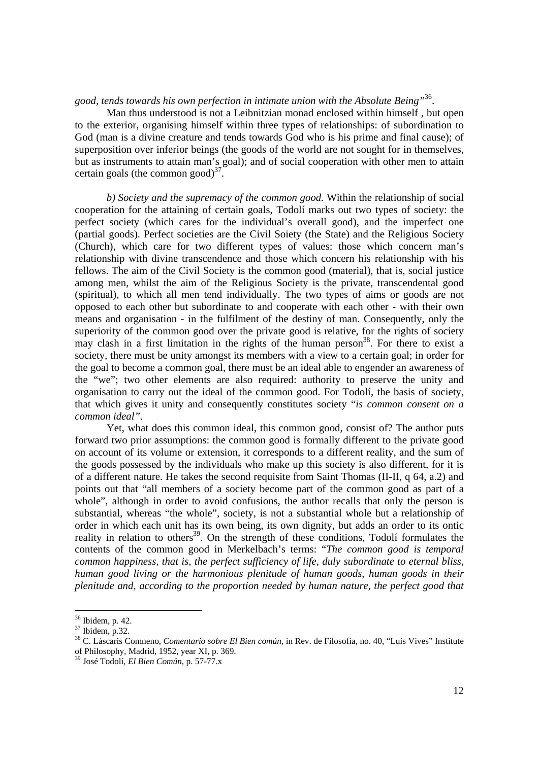# *good, tends towards his own perfection in intimate union with the Absolute Being"*36.

Man thus understood is not a Leibnitzian monad enclosed within himself , but open to the exterior, organising himself within three types of relationships: of subordination to God (man is a divine creature and tends towards God who is his prime and final cause); of superposition over inferior beings (the goods of the world are not sought for in themselves, but as instruments to attain man's goal); and of social cooperation with other men to attain certain goals (the common good) $37$ .

*b) Society and the supremacy of the common good.* Within the relationship of social cooperation for the attaining of certain goals, Todolí marks out two types of society: the perfect society (which cares for the individual's overall good), and the imperfect one (partial goods). Perfect societies are the Civil Soiety (the State) and the Religious Society (Church), which care for two different types of values: those which concern man's relationship with divine transcendence and those which concern his relationship with his fellows. The aim of the Civil Society is the common good (material), that is, social justice among men, whilst the aim of the Religious Society is the private, transcendental good (spiritual), to which all men tend individually. The two types of aims or goods are not opposed to each other but subordinate to and cooperate with each other - with their own means and organisation - in the fulfilment of the destiny of man. Consequently, only the superiority of the common good over the private good is relative, for the rights of society may clash in a first limitation in the rights of the human person<sup>38</sup>. For there to exist a society, there must be unity amongst its members with a view to a certain goal; in order for the goal to become a common goal, there must be an ideal able to engender an awareness of the "we"; two other elements are also required: authority to preserve the unity and organisation to carry out the ideal of the common good. For Todolí, the basis of society, that which gives it unity and consequently constitutes society "*is common consent on a common ideal".*

Yet, what does this common ideal, this common good, consist of? The author puts forward two prior assumptions: the common good is formally different to the private good on account of its volume or extension, it corresponds to a different reality, and the sum of the goods possessed by the individuals who make up this society is also different, for it is of a different nature. He takes the second requisite from Saint Thomas (II-II, q 64, a.2) and points out that "all members of a society become part of the common good as part of a whole", although in order to avoid confusions, the author recalls that only the person is substantial, whereas "the whole", society, is not a substantial whole but a relationship of order in which each unit has its own being, its own dignity, but adds an order to its ontic reality in relation to others<sup>39</sup>. On the strength of these conditions, Todolí formulates the contents of the common good in Merkelbach's terms: "*The common good is temporal common happiness, that is, the perfect sufficiency of life, duly subordinate to eternal bliss, human good living or the harmonious plenitude of human goods, human goods in their plenitude and, according to the proportion needed by human nature, the perfect good that* 

 $36$  Ibidem, p. 42.

<sup>37</sup> Ibidem, p.32.

<sup>38</sup> C. Láscaris Comneno, *Comentario sobre El Bien común,* in Rev. de Filosofía, no. 40, "Luis Vives" Institute of Philosophy, Madrid, 1952, year XI, p. 369.

<sup>39</sup> José Todolí, *El Bien Común*, p. 57-77.x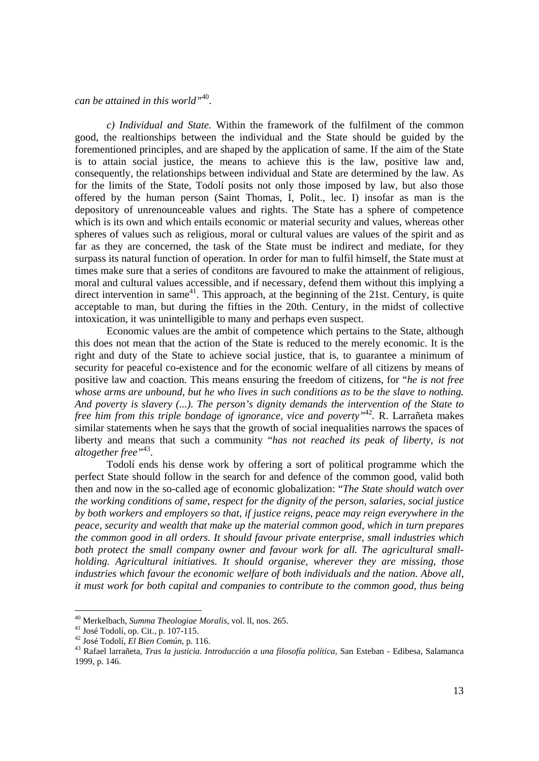*can be attained in this world"*40.

*c) Individual and State.* Within the framework of the fulfilment of the common good, the realtionships between the individual and the State should be guided by the forementioned principles, and are shaped by the application of same. If the aim of the State is to attain social justice, the means to achieve this is the law, positive law and, consequently, the relationships between individual and State are determined by the law. As for the limits of the State, Todolí posits not only those imposed by law, but also those offered by the human person (Saint Thomas, I, Polit., lec. I) insofar as man is the depository of unrenounceable values and rights. The State has a sphere of competence which is its own and which entails economic or material security and values, whereas other spheres of values such as religious, moral or cultural values are values of the spirit and as far as they are concerned, the task of the State must be indirect and mediate, for they surpass its natural function of operation. In order for man to fulfil himself, the State must at times make sure that a series of conditons are favoured to make the attainment of religious, moral and cultural values accessible, and if necessary, defend them without this implying a direct intervention in same<sup>41</sup>. This approach, at the beginning of the 21st. Century, is quite acceptable to man, but during the fifties in the 20th. Century, in the midst of collective intoxication, it was unintelligible to many and perhaps even suspect.

Economic values are the ambit of competence which pertains to the State, although this does not mean that the action of the State is reduced to the merely economic. It is the right and duty of the State to achieve social justice, that is, to guarantee a minimum of security for peaceful co-existence and for the economic welfare of all citizens by means of positive law and coaction. This means ensuring the freedom of citizens, for "*he is not free whose arms are unbound, but he who lives in such conditions as to be the slave to nothing. And poverty is slavery (...). The person's dignity demands the intervention of the State to free him from this triple bondage of ignorance, vice and poverty"*<sup>42</sup>*.* R. Larrañeta makes similar statements when he says that the growth of social inequalities narrows the spaces of liberty and means that such a community "*has not reached its peak of liberty, is not altogether free"*43.

Todolí ends his dense work by offering a sort of political programme which the perfect State should follow in the search for and defence of the common good, valid both then and now in the so-called age of economic globalization: "*The State should watch over the working conditions of same, respect for the dignity of the person, salaries, social justice by both workers and employers so that, if justice reigns, peace may reign everywhere in the peace, security and wealth that make up the material common good, which in turn prepares the common good in all orders. It should favour private enterprise, small industries which both protect the small company owner and favour work for all. The agricultural smallholding. Agricultural initiatives. It should organise, wherever they are missing, those industries which favour the economic welfare of both individuals and the nation. Above all, it must work for both capital and companies to contribute to the common good, thus being* 

<sup>40</sup> Merkelbach, *Summa Theologiae Moralis*, vol. ll, nos. 265. 41 José Todolí, op. Cit., p. 107-115.

<sup>&</sup>lt;sup>43</sup> Rafael larrañeta, *Tras la justicia. Introducción a una filosofía política*, San Esteban - Edibesa, Salamanca 1999, p. 146.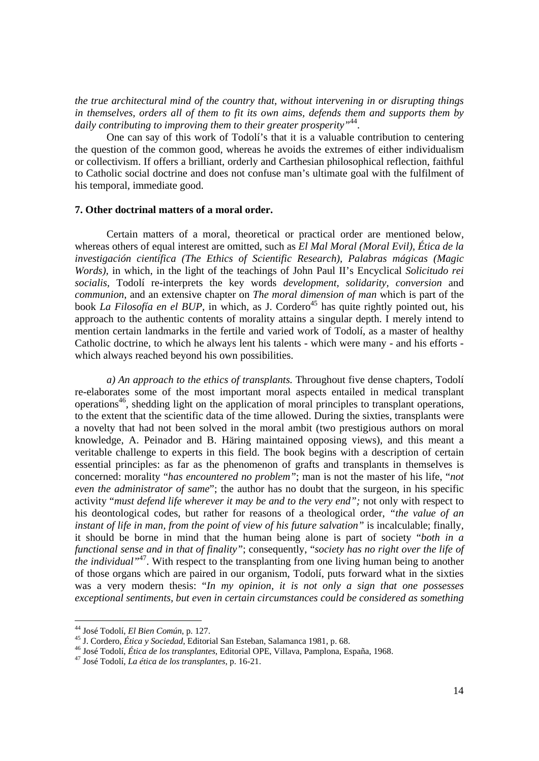*the true architectural mind of the country that, without intervening in or disrupting things in themselves, orders all of them to fit its own aims, defends them and supports them by daily contributing to improving them to their greater prosperity"*44.

One can say of this work of Todolí's that it is a valuable contribution to centering the question of the common good, whereas he avoids the extremes of either individualism or collectivism. If offers a brilliant, orderly and Carthesian philosophical reflection, faithful to Catholic social doctrine and does not confuse man's ultimate goal with the fulfilment of his temporal, immediate good.

#### **7. Other doctrinal matters of a moral order.**

Certain matters of a moral, theoretical or practical order are mentioned below, whereas others of equal interest are omitted, such as *El Mal Moral (Moral Evil), Ética de la investigación científica (The Ethics of Scientific Research), Palabras mágicas (Magic Words),* in which, in the light of the teachings of John Paul II's Encyclical *Solicitudo rei socialis,* Todolí re-interprets the key words *development, solidarity, conversion* and *communion*, and an extensive chapter on *The moral dimension of man* which is part of the book *La Filosofía en el BUP*, in which, as J. Cordero<sup>45</sup> has quite rightly pointed out, his approach to the authentic contents of morality attains a singular depth. I merely intend to mention certain landmarks in the fertile and varied work of Todolí, as a master of healthy Catholic doctrine, to which he always lent his talents - which were many - and his efforts which always reached beyond his own possibilities.

*a) An approach to the ethics of transplants.* Throughout five dense chapters, Todolí re-elaborates some of the most important moral aspects entailed in medical transplant operations<sup>46</sup>, shedding light on the application of moral principles to transplant operations, to the extent that the scientific data of the time allowed. During the sixties, transplants were a novelty that had not been solved in the moral ambit (two prestigious authors on moral knowledge, A. Peinador and B. Häring maintained opposing views), and this meant a veritable challenge to experts in this field. The book begins with a description of certain essential principles: as far as the phenomenon of grafts and transplants in themselves is concerned: morality "*has encountered no problem"*; man is not the master of his life, "*not even the administrator of same*"; the author has no doubt that the surgeon, in his specific activity "*must defend life wherever it may be and to the very end";* not only with respect to his deontological codes, but rather for reasons of a theological order, *"the value of an instant of life in man, from the point of view of his future salvation"* is incalculable; finally, it should be borne in mind that the human being alone is part of society "*both in a functional sense and in that of finality"*; consequently, "*society has no right over the life of the individual*<sup>47</sup>. With respect to the transplanting from one living human being to another of those organs which are paired in our organism, Todolí, puts forward what in the sixties was a very modern thesis: "*In my opinion, it is not only a sign that one possesses exceptional sentiments, but even in certain circumstances could be considered as something* 

<sup>&</sup>lt;sup>44</sup> José Todolí, El Bien Común, p. 127.

<sup>&</sup>lt;sup>45</sup> J. Cordero, *Ética y Sociedad*, Editorial San Esteban, Salamanca 1981, p. 68.<br><sup>46</sup> José Todolí, *Ética de los transplantes*, Editorial OPE, Villava, Pamplona, España, 1968.<br><sup>47</sup> José Todolí, *La ética de los transplan*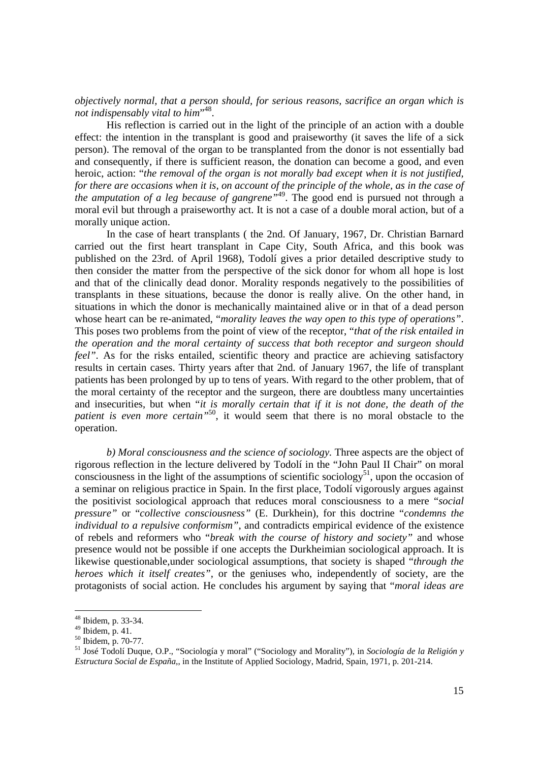*objectively normal, that a person should, for serious reasons, sacrifice an organ which is not indispensably vital to him*" 48.

His reflection is carried out in the light of the principle of an action with a double effect: the intention in the transplant is good and praiseworthy (it saves the life of a sick person). The removal of the organ to be transplanted from the donor is not essentially bad and consequently, if there is sufficient reason, the donation can become a good, and even heroic, action: "*the removal of the organ is not morally bad except when it is not justified, for there are occasions when it is, on account of the principle of the whole, as in the case of the amputation of a leg because of gangrene*<sup>149</sup>. The good end is pursued not through a moral evil but through a praiseworthy act. It is not a case of a double moral action, but of a morally unique action.

In the case of heart transplants ( the 2nd. Of January, 1967, Dr. Christian Barnard carried out the first heart transplant in Cape City, South Africa, and this book was published on the 23rd. of April 1968), Todolí gives a prior detailed descriptive study to then consider the matter from the perspective of the sick donor for whom all hope is lost and that of the clinically dead donor. Morality responds negatively to the possibilities of transplants in these situations, because the donor is really alive. On the other hand, in situations in which the donor is mechanically maintained alive or in that of a dead person whose heart can be re-animated, "*morality leaves the way open to this type of operations"*. This poses two problems from the point of view of the receptor, "*that of the risk entailed in the operation and the moral certainty of success that both receptor and surgeon should feel"*. As for the risks entailed, scientific theory and practice are achieving satisfactory results in certain cases. Thirty years after that 2nd. of January 1967, the life of transplant patients has been prolonged by up to tens of years. With regard to the other problem, that of the moral certainty of the receptor and the surgeon, there are doubtless many uncertainties and insecurities, but when "*it is morally certain that if it is not done, the death of the patient is even more certain"*50, it would seem that there is no moral obstacle to the operation.

*b) Moral consciousness and the science of sociology.* Three aspects are the object of rigorous reflection in the lecture delivered by Todolí in the "John Paul II Chair" on moral consciousness in the light of the assumptions of scientific sociology<sup>51</sup>, upon the occasion of a seminar on religious practice in Spain. In the first place, Todolí vigorously argues against the positivist sociological approach that reduces moral consciousness to a mere "*social pressure"* or "*collective consciousness"* (E. Durkhein), for this doctrine "*condemns the individual to a repulsive conformism"*, and contradicts empirical evidence of the existence of rebels and reformers who "*break with the course of history and society"* and whose presence would not be possible if one accepts the Durkheimian sociological approach. It is likewise questionable,under sociological assumptions, that society is shaped "*through the heroes which it itself creates"*, or the geniuses who, independently of society, are the protagonists of social action. He concludes his argument by saying that "*moral ideas are* 

<sup>48</sup> Ibidem, p. 33-34.

 $49$  Ibidem, p. 41.

<sup>50</sup> Ibidem, p. 70-77.

<sup>51</sup> José Todolí Duque, O.P., "Sociología y moral" ("Sociology and Morality"), in *Sociología de la Religión y Estructura Social de España*,, in the Institute of Applied Sociology, Madrid, Spain, 1971, p. 201-214.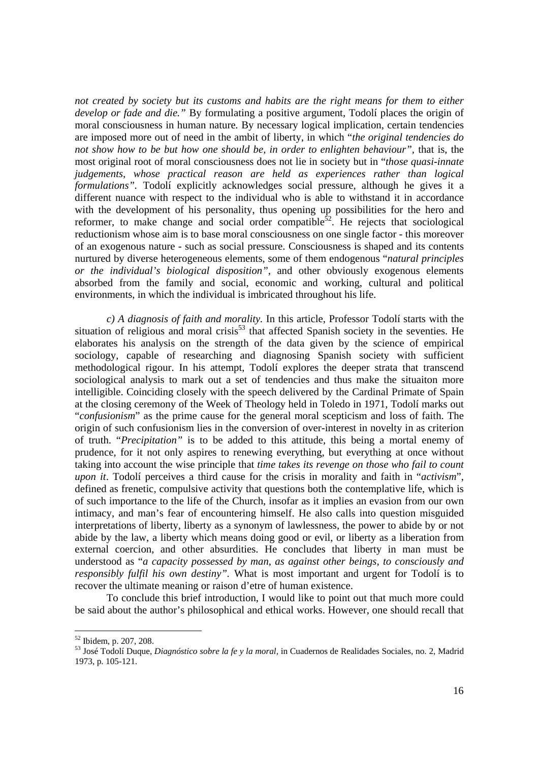*not created by society but its customs and habits are the right means for them to either develop or fade and die."* By formulating a positive argument, Todolí places the origin of moral consciousness in human nature*.* By necessary logical implication, certain tendencies are imposed more out of need in the ambit of liberty, in which "*the original tendencies do not show how to be but how one should be, in order to enlighten behaviour"*, that is, the most original root of moral consciousness does not lie in society but in "*those quasi-innate judgements, whose practical reason are held as experiences rather than logical formulations".* Todolí explicitly acknowledges social pressure, although he gives it a different nuance with respect to the individual who is able to withstand it in accordance with the development of his personality, thus opening up possibilities for the hero and reformer, to make change and social order compatible<sup>52</sup>. He rejects that sociological reductionism whose aim is to base moral consciousness on one single factor - this moreover of an exogenous nature - such as social pressure. Consciousness is shaped and its contents nurtured by diverse heterogeneous elements, some of them endogenous "*natural principles or the individual's biological disposition"*, and other obviously exogenous elements absorbed from the family and social, economic and working, cultural and political environments, in which the individual is imbricated throughout his life.

*c) A diagnosis of faith and morality.* In this article, Professor Todolí starts with the situation of religious and moral crisis<sup>53</sup> that affected Spanish society in the seventies. He elaborates his analysis on the strength of the data given by the science of empirical sociology, capable of researching and diagnosing Spanish society with sufficient methodological rigour. In his attempt, Todolí explores the deeper strata that transcend sociological analysis to mark out a set of tendencies and thus make the situaiton more intelligible. Coinciding closely with the speech delivered by the Cardinal Primate of Spain at the closing ceremony of the Week of Theology held in Toledo in 1971, Todolí marks out "*confusionism*" as the prime cause for the general moral scepticism and loss of faith. The origin of such confusionism lies in the conversion of over-interest in novelty in as criterion of truth. "*Precipitation"* is to be added to this attitude, this being a mortal enemy of prudence, for it not only aspires to renewing everything, but everything at once without taking into account the wise principle that *time takes its revenge on those who fail to count upon it*. Todolí perceives a third cause for the crisis in morality and faith in "*activism*", defined as frenetic, compulsive activity that questions both the contemplative life, which is of such importance to the life of the Church, insofar as it implies an evasion from our own intimacy, and man's fear of encountering himself. He also calls into question misguided interpretations of liberty, liberty as a synonym of lawlessness, the power to abide by or not abide by the law, a liberty which means doing good or evil, or liberty as a liberation from external coercion, and other absurdities. He concludes that liberty in man must be understood as "*a capacity possessed by man, as against other beings, to consciously and responsibly fulfil his own destiny".* What is most important and urgent for Todolí is to recover the ultimate meaning or raison d'etre of human existence.

To conclude this brief introduction, I would like to point out that much more could be said about the author's philosophical and ethical works. However, one should recall that

<sup>52</sup> Ibidem, p. 207, 208.

<sup>53</sup> José Todolí Duque, *Diagnóstico sobre la fe y la moral,* in Cuadernos de Realidades Sociales, no. 2, Madrid 1973, p. 105-121.